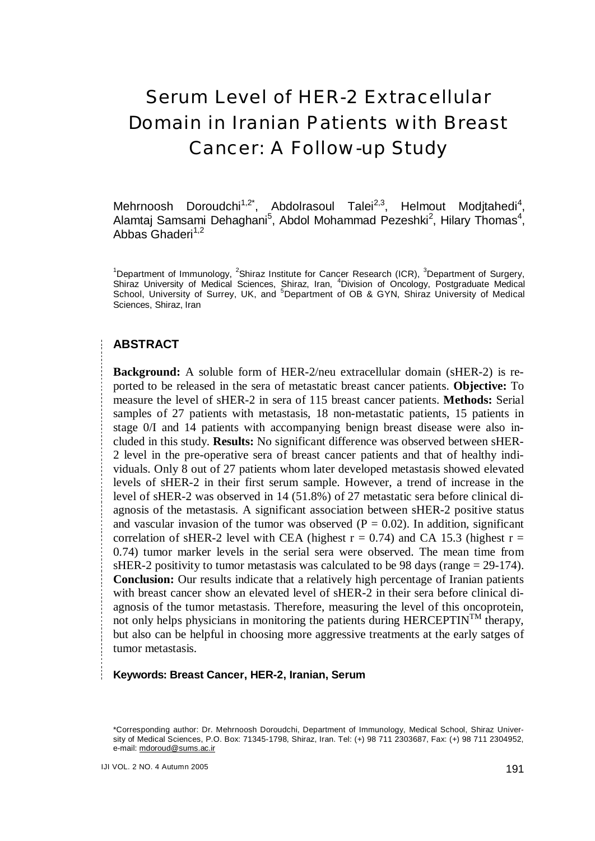# Serum Level of HER-2 Extracellular Domain in Iranian Patients with Breast Cancer: A Follow-up Study

Mehrnoosh Doroudchi<sup>1,2\*</sup>, Abdolrasoul Talei<sup>2,3</sup>, Helmout Modjtahedi<sup>4</sup>, Alamtaj Samsami Dehaghani<sup>5</sup>, Abdol Mohammad Pezeshki<sup>2</sup>, Hilary Thomas<sup>4</sup>, Abbas Ghaderi $1,2$ 

<sup>1</sup>Department of Immunology, <sup>2</sup>Shiraz Institute for Cancer Research (ICR), <sup>3</sup>Department of Surgery, Shiraz University of Medical Sciences, Shiraz, Iran, <sup>4</sup>Division of Oncology, Postgraduate Medical School, University of Surrey, UK, and <sup>5</sup>Department of OB & GYN, Shiraz University of Medical Sciences, Shiraz, Iran

#### **ABSTRACT**

**Background:** A soluble form of HER-2/neu extracellular domain (sHER-2) is reported to be released in the sera of metastatic breast cancer patients. **Objective:** To measure the level of sHER-2 in sera of 115 breast cancer patients. **Methods:** Serial samples of 27 patients with metastasis, 18 non-metastatic patients, 15 patients in stage 0/I and 14 patients with accompanying benign breast disease were also included in this study. **Results:** No significant difference was observed between sHER-2 level in the pre-operative sera of breast cancer patients and that of healthy individuals. Only 8 out of 27 patients whom later developed metastasis showed elevated levels of sHER-2 in their first serum sample. However, a trend of increase in the level of sHER-2 was observed in 14 (51.8%) of 27 metastatic sera before clinical diagnosis of the metastasis. A significant association between sHER-2 positive status and vascular invasion of the tumor was observed  $(P = 0.02)$ . In addition, significant correlation of sHER-2 level with CEA (highest  $r = 0.74$ ) and CA 15.3 (highest  $r =$ 0.74) tumor marker levels in the serial sera were observed. The mean time from sHER-2 positivity to tumor metastasis was calculated to be 98 days (range  $= 29-174$ ). **Conclusion:** Our results indicate that a relatively high percentage of Iranian patients with breast cancer show an elevated level of sHER-2 in their sera before clinical diagnosis of the tumor metastasis. Therefore, measuring the level of this oncoprotein, not only helps physicians in monitoring the patients during  $HERCEPTIN<sup>TM</sup>$  therapy, but also can be helpful in choosing more aggressive treatments at the early satges of tumor metastasis.

**Keywords: Breast Cancer, HER-2, Iranian, Serum**

<sup>\*</sup>Corresponding author: Dr. Mehrnoosh Doroudchi, Department of Immunology, Medical School, Shiraz University of Medical Sciences, P.O. Box: 71345-1798, Shiraz, Iran. Tel: (+) 98 711 2303687, Fax: (+) 98 711 2304952, e-mail: [mdoroud@sums.ac.ir](mailto:mdoroud@sums.ac.ir)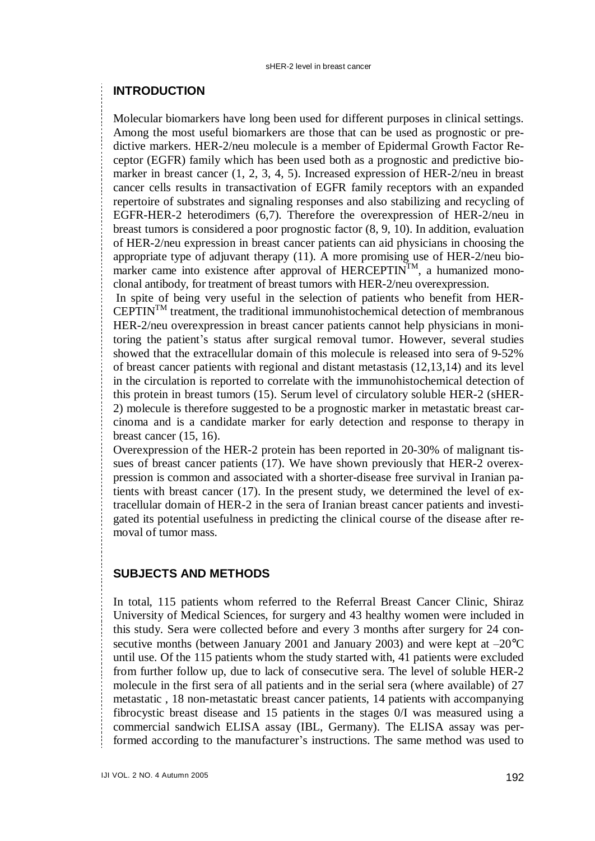# **INTRODUCTION**

Molecular biomarkers have long been used for different purposes in clinical settings. Among the most useful biomarkers are those that can be used as prognostic or predictive markers. HER-2/neu molecule is a member of Epidermal Growth Factor Receptor (EGFR) family which has been used both as a prognostic and predictive biomarker in breast cancer (1, 2, 3, 4, 5). Increased expression of HER-2/neu in breast cancer cells results in transactivation of EGFR family receptors with an expanded repertoire of substrates and signaling responses and also stabilizing and recycling of EGFR-HER-2 heterodimers (6,7). Therefore the overexpression of HER-2/neu in breast tumors is considered a poor prognostic factor (8, 9, 10). In addition, evaluation of HER-2/neu expression in breast cancer patients can aid physicians in choosing the appropriate type of adjuvant therapy (11). A more promising use of HER-2/neu biomarker came into existence after approval of  $HERCEPTIN<sup>TM</sup>$ , a humanized monoclonal antibody, for treatment of breast tumors with HER-2/neu overexpression.

In spite of being very useful in the selection of patients who benefit from HER- $CEPTIN<sup>TM</sup>$  treatment, the traditional immunohistochemical detection of membranous HER-2/neu overexpression in breast cancer patients cannot help physicians in monitoring the patient's status after surgical removal tumor. However, several studies showed that the extracellular domain of this molecule is released into sera of 9-52% of breast cancer patients with regional and distant metastasis (12,13,14) and its level in the circulation is reported to correlate with the immunohistochemical detection of this protein in breast tumors (15). Serum level of circulatory soluble HER-2 (sHER-2) molecule is therefore suggested to be a prognostic marker in metastatic breast carcinoma and is a candidate marker for early detection and response to therapy in breast cancer (15, 16).

Overexpression of the HER-2 protein has been reported in 20-30% of malignant tissues of breast cancer patients (17). We have shown previously that HER-2 overexpression is common and associated with a shorter-disease free survival in Iranian patients with breast cancer (17). In the present study, we determined the level of extracellular domain of HER-2 in the sera of Iranian breast cancer patients and investigated its potential usefulness in predicting the clinical course of the disease after removal of tumor mass.

# **SUBJECTS AND METHODS**

In total, 115 patients whom referred to the Referral Breast Cancer Clinic, Shiraz University of Medical Sciences, for surgery and 43 healthy women were included in this study. Sera were collected before and every 3 months after surgery for 24 consecutive months (between January 2001 and January 2003) and were kept at –20°C until use. Of the 115 patients whom the study started with, 41 patients were excluded from further follow up, due to lack of consecutive sera. The level of soluble HER-2 molecule in the first sera of all patients and in the serial sera (where available) of 27 metastatic , 18 non-metastatic breast cancer patients, 14 patients with accompanying fibrocystic breast disease and 15 patients in the stages 0/I was measured using a commercial sandwich ELISA assay (IBL, Germany). The ELISA assay was performed according to the manufacturer's instructions. The same method was used to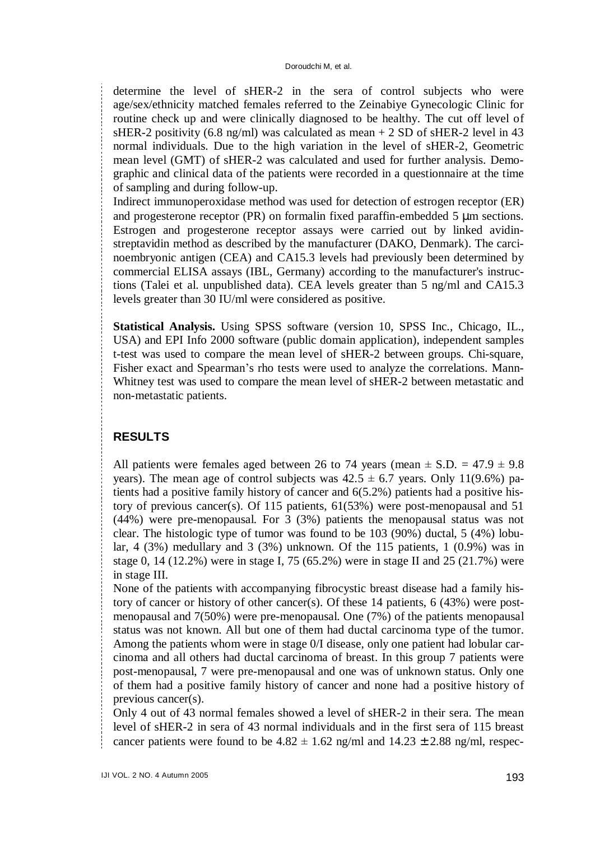determine the level of sHER-2 in the sera of control subjects who were age/sex/ethnicity matched females referred to the Zeinabiye Gynecologic Clinic for routine check up and were clinically diagnosed to be healthy. The cut off level of sHER-2 positivity (6.8 ng/ml) was calculated as mean  $+ 2$  SD of sHER-2 level in 43 normal individuals. Due to the high variation in the level of sHER-2, Geometric mean level (GMT) of sHER-2 was calculated and used for further analysis. Demographic and clinical data of the patients were recorded in a questionnaire at the time of sampling and during follow-up.

Indirect immunoperoxidase method was used for detection of estrogen receptor (ER) and progesterone receptor (PR) on formalin fixed paraffin-embedded 5 μm sections. Estrogen and progesterone receptor assays were carried out by linked avidinstreptavidin method as described by the manufacturer (DAKO, Denmark). The carcinoembryonic antigen (CEA) and CA15.3 levels had previously been determined by commercial ELISA assays (IBL, Germany) according to the manufacturer's instructions (Talei et al. unpublished data). CEA levels greater than 5 ng/ml and CA15.3 levels greater than 30 IU/ml were considered as positive.

**Statistical Analysis.** Using SPSS software (version 10, SPSS Inc., Chicago, IL., USA) and EPI Info 2000 software (public domain application), independent samples t-test was used to compare the mean level of sHER-2 between groups. Chi-square, Fisher exact and Spearman's rho tests were used to analyze the correlations. Mann-Whitney test was used to compare the mean level of sHER-2 between metastatic and non-metastatic patients.

# **RESULTS**

All patients were females aged between 26 to 74 years (mean  $\pm$  S.D. = 47.9  $\pm$  9.8 years). The mean age of control subjects was  $42.5 \pm 6.7$  years. Only 11(9.6%) patients had a positive family history of cancer and 6(5.2%) patients had a positive history of previous cancer(s). Of 115 patients, 61(53%) were post-menopausal and 51 (44%) were pre-menopausal. For 3 (3%) patients the menopausal status was not clear. The histologic type of tumor was found to be 103 (90%) ductal, 5 (4%) lobular, 4 (3%) medullary and 3 (3%) unknown. Of the 115 patients, 1 (0.9%) was in stage 0, 14 (12.2%) were in stage I, 75 (65.2%) were in stage II and 25 (21.7%) were in stage III.

None of the patients with accompanying fibrocystic breast disease had a family history of cancer or history of other cancer(s). Of these 14 patients, 6 (43%) were postmenopausal and 7(50%) were pre-menopausal. One (7%) of the patients menopausal status was not known. All but one of them had ductal carcinoma type of the tumor. Among the patients whom were in stage 0/I disease, only one patient had lobular carcinoma and all others had ductal carcinoma of breast. In this group 7 patients were post-menopausal, 7 were pre-menopausal and one was of unknown status. Only one of them had a positive family history of cancer and none had a positive history of previous cancer(s).

Only 4 out of 43 normal females showed a level of sHER-2 in their sera. The mean level of sHER-2 in sera of 43 normal individuals and in the first sera of 115 breast cancer patients were found to be  $4.82 \pm 1.62$  ng/ml and  $14.23 \pm 2.88$  ng/ml, respec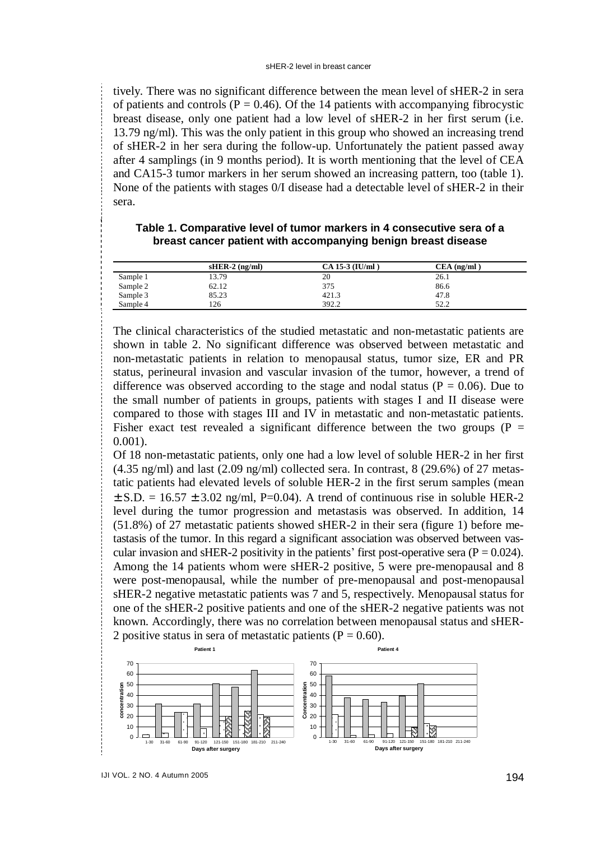tively. There was no significant difference between the mean level of sHER-2 in sera of patients and controls ( $P = 0.46$ ). Of the 14 patients with accompanying fibrocystic breast disease, only one patient had a low level of sHER-2 in her first serum (i.e. 13.79 ng/ml). This was the only patient in this group who showed an increasing trend of sHER-2 in her sera during the follow-up. Unfortunately the patient passed away after 4 samplings (in 9 months period). It is worth mentioning that the level of CEA and CA15-3 tumor markers in her serum showed an increasing pattern, too (table 1). None of the patients with stages 0/I disease had a detectable level of sHER-2 in their sera.

|  | Table 1. Comparative level of tumor markers in 4 consecutive sera of a |  |
|--|------------------------------------------------------------------------|--|
|  | breast cancer patient with accompanying benign breast disease          |  |

|          | $sHER-2$ (ng/ml) | CA 15-3 (IU/ml) | $CEA$ (ng/ml) |  |
|----------|------------------|-----------------|---------------|--|
| Sample 1 | 13.79            | 20              | 26.1          |  |
| Sample 2 | 62.12            | 375             | 86.6          |  |
| Sample 3 | 85.23            | 421.3           | 47.8          |  |
| Sample 4 | 126              | 392.2           | 52.2          |  |
|          |                  |                 |               |  |

The clinical characteristics of the studied metastatic and non-metastatic patients are shown in table 2. No significant difference was observed between metastatic and non-metastatic patients in relation to menopausal status, tumor size, ER and PR status, perineural invasion and vascular invasion of the tumor, however, a trend of difference was observed according to the stage and nodal status ( $P = 0.06$ ). Due to the small number of patients in groups, patients with stages I and II disease were compared to those with stages III and IV in metastatic and non-metastatic patients. Fisher exact test revealed a significant difference between the two groups ( $P =$ 0.001).

Of 18 non-metastatic patients, only one had a low level of soluble HER-2 in her first  $(4.35 \text{ ng/ml})$  and last  $(2.09 \text{ ng/ml})$  collected sera. In contrast,  $8$   $(29.6\%)$  of 27 metastatic patients had elevated levels of soluble HER-2 in the first serum samples (mean  $\pm$  S.D. = 16.57  $\pm$  3.02 ng/ml, P=0.04). A trend of continuous rise in soluble HER-2 level during the tumor progression and metastasis was observed. In addition, 14 (51.8%) of 27 metastatic patients showed sHER-2 in their sera (figure 1) before metastasis of the tumor. In this regard a significant association was observed between vascular invasion and sHER-2 positivity in the patients' first post-operative sera ( $P = 0.024$ ). Among the 14 patients whom were sHER-2 positive, 5 were pre-menopausal and 8 were post-menopausal, while the number of pre-menopausal and post-menopausal sHER-2 negative metastatic patients was 7 and 5, respectively. Menopausal status for one of the sHER-2 positive patients and one of the sHER-2 negative patients was not known. Accordingly, there was no correlation between menopausal status and sHER-2 positive status in sera of metastatic patients ( $P = 0.60$ ).

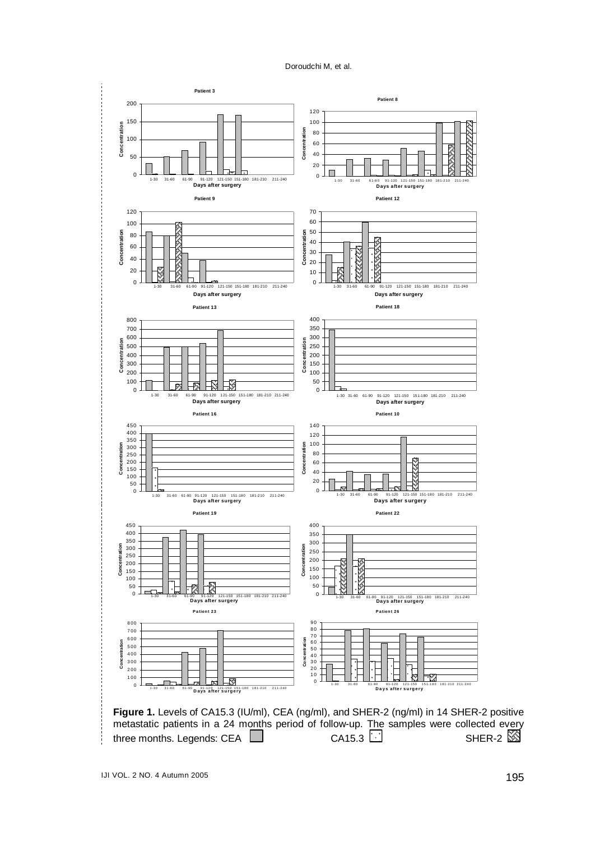Doroudchi M, et al.

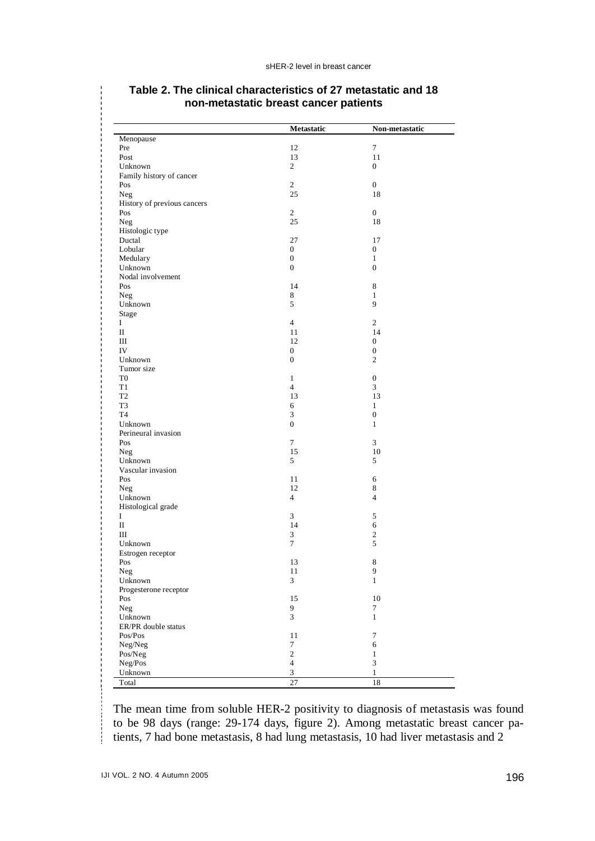|                             | Metastatic                        | Non-metastatic   |
|-----------------------------|-----------------------------------|------------------|
| Menopause                   |                                   |                  |
| Pre                         | 12                                | $\overline{7}$   |
| Post                        | 13                                | 11               |
| Unknown                     | $\overline{c}$                    | $\boldsymbol{0}$ |
| Family history of cancer    |                                   |                  |
| Pos                         | $\sqrt{2}$                        | $\boldsymbol{0}$ |
| Neg                         | 25                                | 18               |
| History of previous cancers |                                   |                  |
| Pos                         | $\overline{c}$                    | $\overline{0}$   |
| Neg                         | 25                                | 18               |
| Histologic type             |                                   |                  |
| Ductal                      | 27                                | 17               |
| Lobular                     | $\mathbf{0}$                      | $\mathbf{0}$     |
| Medulary                    | $\boldsymbol{0}$                  | $\mathbf{1}$     |
| Unknown                     | $\overline{0}$                    | $\boldsymbol{0}$ |
| Nodal involvement           |                                   |                  |
| Pos                         | 14                                | $\,8\,$          |
| <b>Neg</b>                  | 8                                 | $\mathbf{1}$     |
| Unknown                     | 5                                 | 9                |
|                             |                                   |                  |
| Stage<br>I                  | $\overline{4}$                    | $\overline{c}$   |
| $\scriptstyle\rm II$        | 11                                | 14               |
| Ш                           | 12                                | $\mathbf{0}$     |
| IV                          |                                   |                  |
|                             | $\boldsymbol{0}$                  | $\boldsymbol{0}$ |
| Unknown                     | $\boldsymbol{0}$                  | $\overline{c}$   |
| Tumor size                  |                                   |                  |
| T <sub>0</sub>              | $\mathbf{1}$                      | $\boldsymbol{0}$ |
| T1                          | $\overline{4}$                    | 3                |
| T <sub>2</sub>              | 13                                | 13               |
| T3                          | 6                                 | $\mathbf{1}$     |
| T <sub>4</sub>              | 3                                 | $\boldsymbol{0}$ |
| Unknown                     | $\boldsymbol{0}$                  | $\mathbf{1}$     |
| Perineural invasion         |                                   |                  |
| Pos                         | $\overline{7}$                    | 3                |
| <b>Neg</b>                  | 15                                | 10               |
| Unknown                     | 5                                 | 5                |
| Vascular invasion           |                                   |                  |
| Pos                         | 11                                | 6                |
| <b>Neg</b>                  | 12                                | $\,8\,$          |
| Unknown                     | $\overline{4}$                    | $\overline{4}$   |
| Histological grade          |                                   |                  |
| Ι                           | $\overline{3}$                    | 5                |
| П                           | 14                                | 6                |
| Ш                           | 3                                 | $\boldsymbol{2}$ |
| Unknown                     | 7                                 | 5                |
| Estrogen receptor           |                                   |                  |
| Pos                         | 13                                | $\,$ 8 $\,$      |
| Neg                         | 11                                | 9                |
| Unknown                     | 3                                 | 1                |
| Progesterone receptor       |                                   |                  |
| Pos                         | 15                                | 10               |
| Neg                         | 9                                 | $\tau$           |
| Unknown                     | $\mathfrak{Z}$                    | $\mathbf{1}$     |
| ER/PR double status         |                                   |                  |
| Pos/Pos                     | 11                                | $\tau$           |
|                             |                                   |                  |
| Neg/Neg                     | $\tau$                            | 6                |
| Pos/Neg                     | $\sqrt{2}$                        | $\mathbf{1}$     |
| Neg/Pos                     | $\overline{4}$                    | $\mathfrak z$    |
| Unknown<br>Total            | $\ensuremath{\mathfrak{Z}}$<br>27 | $\,1$<br>18      |

#### **Table 2. The clinical characteristics of 27 metastatic and 18 non-metastatic breast cancer patients**

The mean time from soluble HER-2 positivity to diagnosis of metastasis was found to be 98 days (range: 29-174 days, figure 2). Among metastatic breast cancer patients, 7 had bone metastasis, 8 had lung metastasis, 10 had liver metastasis and 2

÷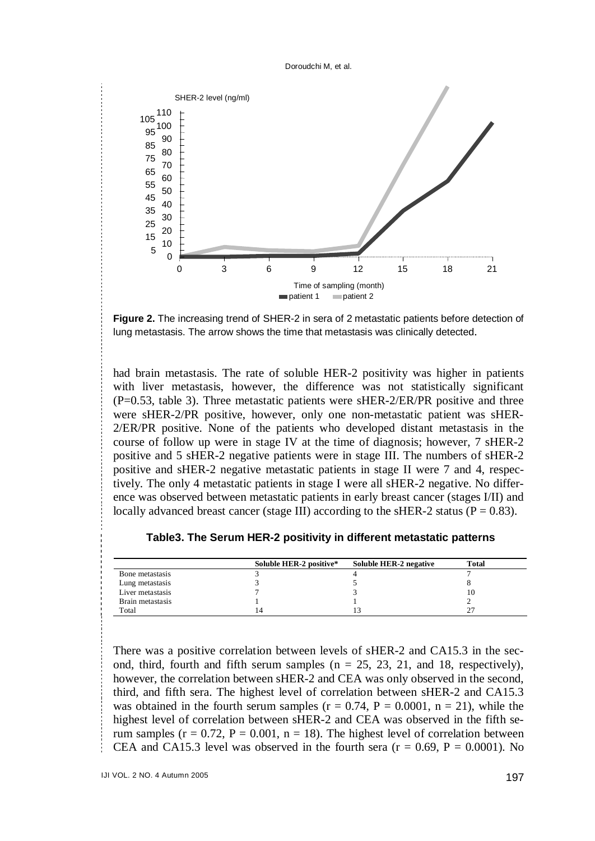



**Figure 2.** The increasing trend of SHER-2 in sera of 2 metastatic patients before detection of lung metastasis. The arrow shows the time that metastasis was clinically detected.

had brain metastasis. The rate of soluble HER-2 positivity was higher in patients with liver metastasis, however, the difference was not statistically significant (P=0.53, table 3). Three metastatic patients were sHER-2/ER/PR positive and three were sHER-2/PR positive, however, only one non-metastatic patient was sHER-2/ER/PR positive. None of the patients who developed distant metastasis in the course of follow up were in stage IV at the time of diagnosis; however, 7 sHER-2 positive and 5 sHER-2 negative patients were in stage III. The numbers of sHER-2 positive and sHER-2 negative metastatic patients in stage II were 7 and 4, respectively. The only 4 metastatic patients in stage I were all sHER-2 negative. No difference was observed between metastatic patients in early breast cancer (stages I/II) and locally advanced breast cancer (stage III) according to the sHER-2 status ( $P = 0.83$ ).

**Table3. The Serum HER-2 positivity in different metastatic patterns** 

|                  | Soluble HER-2 positive* | Soluble HER-2 negative | <b>Total</b> |
|------------------|-------------------------|------------------------|--------------|
| Bone metastasis  |                         |                        |              |
| Lung metastasis  |                         |                        |              |
| Liver metastasis |                         |                        |              |
| Brain metastasis |                         |                        |              |
| Total            | 14                      |                        |              |

There was a positive correlation between levels of sHER-2 and CA15.3 in the second, third, fourth and fifth serum samples  $(n = 25, 23, 21,$  and 18, respectively), however, the correlation between sHER-2 and CEA was only observed in the second, third, and fifth sera. The highest level of correlation between sHER-2 and CA15.3 was obtained in the fourth serum samples ( $r = 0.74$ ,  $P = 0.0001$ ,  $n = 21$ ), while the highest level of correlation between sHER-2 and CEA was observed in the fifth serum samples ( $r = 0.72$ ,  $P = 0.001$ ,  $n = 18$ ). The highest level of correlation between CEA and CA15.3 level was observed in the fourth sera ( $r = 0.69$ ,  $P = 0.0001$ ). No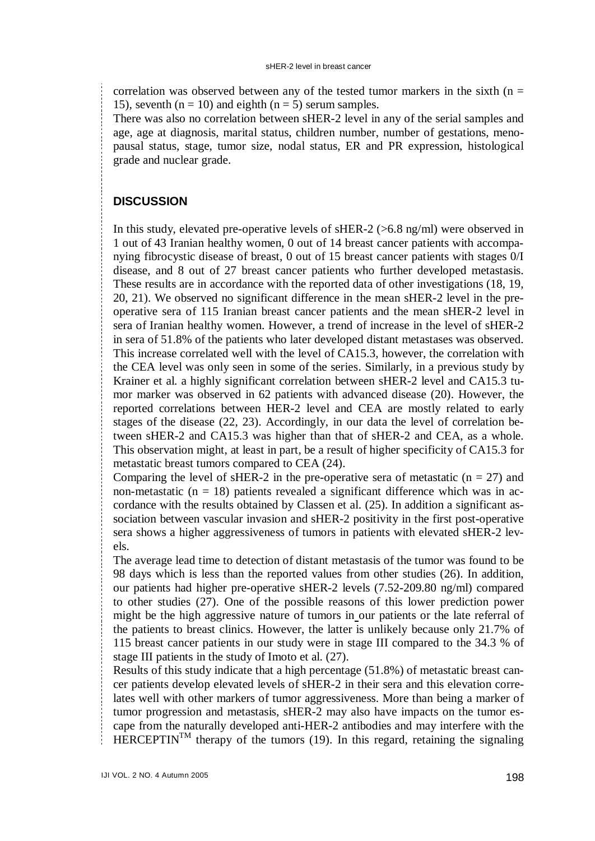correlation was observed between any of the tested tumor markers in the sixth  $(n =$ 15), seventh ( $n = 10$ ) and eighth ( $n = 5$ ) serum samples.

There was also no correlation between sHER-2 level in any of the serial samples and age, age at diagnosis, marital status, children number, number of gestations, menopausal status, stage, tumor size, nodal status, ER and PR expression, histological grade and nuclear grade.

# **DISCUSSION**

In this study, elevated pre-operative levels of sHER-2 (>6.8 ng/ml) were observed in 1 out of 43 Iranian healthy women, 0 out of 14 breast cancer patients with accompanying fibrocystic disease of breast, 0 out of 15 breast cancer patients with stages 0/I disease, and 8 out of 27 breast cancer patients who further developed metastasis. These results are in accordance with the reported data of other investigations (18, 19, 20, 21). We observed no significant difference in the mean sHER-2 level in the preoperative sera of 115 Iranian breast cancer patients and the mean sHER-2 level in sera of Iranian healthy women. However, a trend of increase in the level of sHER-2 in sera of 51.8% of the patients who later developed distant metastases was observed. This increase correlated well with the level of CA15.3, however, the correlation with the CEA level was only seen in some of the series. Similarly, in a previous study by Krainer et al. a highly significant correlation between sHER-2 level and CA15.3 tumor marker was observed in 62 patients with advanced disease (20). However, the reported correlations between HER-2 level and CEA are mostly related to early stages of the disease (22, 23). Accordingly, in our data the level of correlation between sHER-2 and CA15.3 was higher than that of sHER-2 and CEA, as a whole. This observation might, at least in part, be a result of higher specificity of CA15.3 for metastatic breast tumors compared to CEA (24).

Comparing the level of sHER-2 in the pre-operative sera of metastatic  $(n = 27)$  and non-metastatic ( $n = 18$ ) patients revealed a significant difference which was in accordance with the results obtained by Classen et al. (25). In addition a significant association between vascular invasion and sHER-2 positivity in the first post-operative sera shows a higher aggressiveness of tumors in patients with elevated sHER-2 levels.

The average lead time to detection of distant metastasis of the tumor was found to be 98 days which is less than the reported values from other studies (26). In addition, our patients had higher pre-operative sHER-2 levels (7.52-209.80 ng/ml) compared to other studies (27). One of the possible reasons of this lower prediction power might be the high aggressive nature of tumors in our patients or the late referral of the patients to breast clinics. However, the latter is unlikely because only 21.7% of 115 breast cancer patients in our study were in stage III compared to the 34.3 % of stage III patients in the study of Imoto et al. (27).

Results of this study indicate that a high percentage (51.8%) of metastatic breast cancer patients develop elevated levels of sHER-2 in their sera and this elevation correlates well with other markers of tumor aggressiveness. More than being a marker of tumor progression and metastasis, sHER-2 may also have impacts on the tumor escape from the naturally developed anti-HER-2 antibodies and may interfere with the HERCEPTIN<sup>TM</sup> therapy of the tumors (19). In this regard, retaining the signaling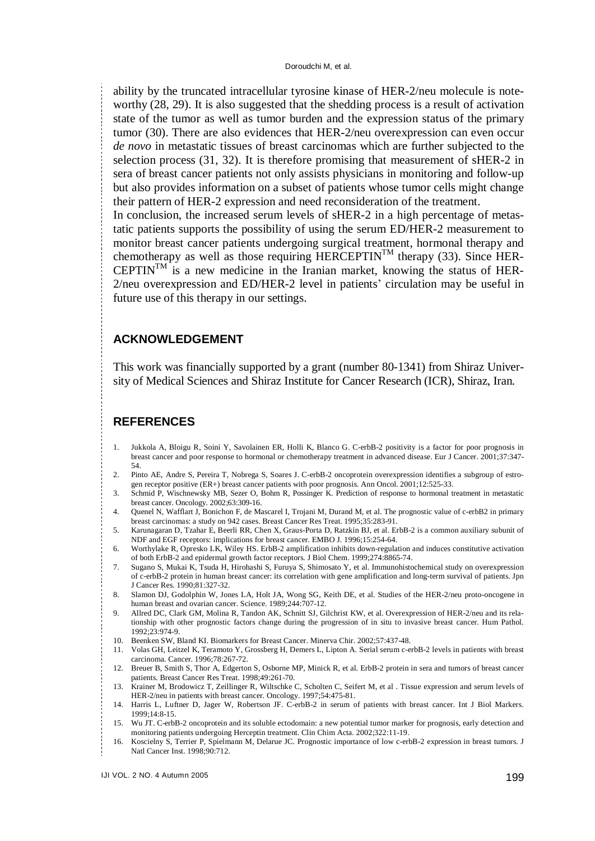ability by the truncated intracellular tyrosine kinase of HER-2/neu molecule is noteworthy (28, 29). It is also suggested that the shedding process is a result of activation state of the tumor as well as tumor burden and the expression status of the primary tumor (30). There are also evidences that HER-2/neu overexpression can even occur *de novo* in metastatic tissues of breast carcinomas which are further subjected to the selection process (31, 32). It is therefore promising that measurement of sHER-2 in sera of breast cancer patients not only assists physicians in monitoring and follow-up but also provides information on a subset of patients whose tumor cells might change their pattern of HER-2 expression and need reconsideration of the treatment.

In conclusion, the increased serum levels of sHER-2 in a high percentage of metastatic patients supports the possibility of using the serum ED/HER-2 measurement to monitor breast cancer patients undergoing surgical treatment, hormonal therapy and chemotherapy as well as those requiring  $HERCEPTIN<sup>TM</sup>$  therapy (33). Since HER- $C EPTIN<sup>TM</sup>$  is a new medicine in the Iranian market, knowing the status of HER-2/neu overexpression and ED/HER-2 level in patients' circulation may be useful in future use of this therapy in our settings.

#### **ACKNOWLEDGEMENT**

This work was financially supported by a grant (number 80-1341) from Shiraz University of Medical Sciences and Shiraz Institute for Cancer Research (ICR), Shiraz, Iran.

### **REFERENCES**

- 1. Jukkola A, Bloigu R, Soini Y, Savolainen ER, Holli K, Blanco G. C-erbB-2 positivity is a factor for poor prognosis in breast cancer and poor response to hormonal or chemotherapy treatment in advanced disease. Eur J Cancer. 2001;37:347- 54.
- 2. Pinto AE, Andre S, Pereira T, Nobrega S, Soares J. C-erbB-2 oncoprotein overexpression identifies a subgroup of estrogen receptor positive (ER+) breast cancer patients with poor prognosis. Ann Oncol. 2001;12:525-33.
- 3. Schmid P, Wischnewsky MB, Sezer O, Bohm R, Possinger K. Prediction of response to hormonal treatment in metastatic breast cancer. Oncology. 2002;63:309-16.
- 4. Quenel N, Wafflart J, Bonichon F, de Mascarel I, Trojani M, Durand M, et al. The prognostic value of c-erbB2 in primary breast carcinomas: a study on 942 cases. Breast Cancer Res Treat. 1995;35:283-91.
- 5. Karunagaran D, Tzahar E, Beerli RR, Chen X, Graus-Porta D, Ratzkin BJ, et al. ErbB-2 is a common auxiliary subunit of NDF and EGF receptors: implications for breast cancer. EMBO J. 1996;15:254-64.
- 6. Worthylake R, Opresko LK, Wiley HS. ErbB-2 amplification inhibits down-regulation and induces constitutive activation of both ErbB-2 and epidermal growth factor receptors. J Biol Chem. 1999;274:8865-74.
- 7. Sugano S, Mukai K, Tsuda H, Hirohashi S, Furuya S, Shimosato Y, et al. Immunohistochemical study on overexpression of c-erbB-2 protein in human breast cancer: its correlation with gene amplification and long-term survival of patients. Jpn J Cancer Res. 1990;81:327-32.
- 8. Slamon DJ, Godolphin W, Jones LA, Holt JA, Wong SG, Keith DE, et al. Studies of the HER-2/neu proto-oncogene in human breast and ovarian cancer. Science. 1989;244:707-12.
- 9. Allred DC, Clark GM, Molina R, Tandon AK, Schnitt SJ, Gilchrist KW, et al. Overexpression of HER-2/neu and its relationship with other prognostic factors change during the progression of in situ to invasive breast cancer. Hum Pathol. 1992;23:974-9.
- 10. Beenken SW, Bland KI. Biomarkers for Breast Cancer. Minerva Chir. 2002;57:437-48.
- 11. Volas GH, Leitzel K, Teramoto Y, Grossberg H, Demers L, Lipton A. Serial serum c-erbB-2 levels in patients with breast carcinoma. Cancer. 1996;78:267-72.
- 12. Breuer B, Smith S, Thor A, Edgerton S, Osborne MP, Minick R, et al. ErbB-2 protein in sera and tumors of breast cancer patients. Breast Cancer Res Treat. 1998;49:261-70.
- 13. Krainer M, Brodowicz T, Zeillinger R, Wiltschke C, Scholten C, Seifert M, et al . Tissue expression and serum levels of HER-2/neu in patients with breast cancer. Oncology. 1997;54:475-81.
- 14. Harris L, Luftner D, Jager W, Robertson JF. C-erbB-2 in serum of patients with breast cancer. Int J Biol Markers. 1999;14:8-15.
- 15. Wu JT. C-erbB-2 oncoprotein and its soluble ectodomain: a new potential tumor marker for prognosis, early detection and monitoring patients undergoing Herceptin treatment. Clin Chim Acta. 2002;322:11-19.
- 16. Koscielny S, Terrier P, Spielmann M, Delarue JC. Prognostic importance of low c-erbB-2 expression in breast tumors. J Natl Cancer Inst. 1998;90:712.